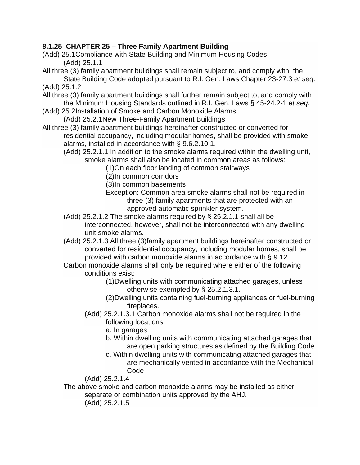## **8.1.25 CHAPTER 25 – Three Family Apartment Building**

(Add) 25.1Compliance with State Building and Minimum Housing Codes.

(Add) 25.1.1

- All three (3) family apartment buildings shall remain subject to, and comply with, the State Building Code adopted pursuant to R.I. Gen. Laws Chapter 23-27.3 *et seq*. (Add) 25.1.2
- All three (3) family apartment buildings shall further remain subject to, and comply with the Minimum Housing Standards outlined in R.I. Gen. Laws § 45-24.2-1 *et seq*.
- (Add) 25.2Installation of Smoke and Carbon Monoxide Alarms.
	- (Add) 25.2.1New Three-Family Apartment Buildings
- All three (3) family apartment buildings hereinafter constructed or converted for residential occupancy, including modular homes, shall be provided with smoke alarms, installed in accordance with § 9.6.2.10.1.

(Add) 25.2.1.1 In addition to the smoke alarms required within the dwelling unit, smoke alarms shall also be located in common areas as follows:

(1)On each floor landing of common stairways

(2)In common corridors

(3)In common basements

Exception: Common area smoke alarms shall not be required in three (3) family apartments that are protected with an approved automatic sprinkler system.

- (Add) 25.2.1.2 The smoke alarms required by § 25.2.1.1 shall all be interconnected, however, shall not be interconnected with any dwelling unit smoke alarms.
- (Add) 25.2.1.3 All three (3)family apartment buildings hereinafter constructed or converted for residential occupancy, including modular homes, shall be provided with carbon monoxide alarms in accordance with § 9.12.
- Carbon monoxide alarms shall only be required where either of the following conditions exist:

(1)Dwelling units with communicating attached garages, unless otherwise exempted by § 25.2.1.3.1.

- (2)Dwelling units containing fuel-burning appliances or fuel-burning fireplaces.
- (Add) 25.2.1.3.1 Carbon monoxide alarms shall not be required in the following locations:
	- a. In garages
	- b. Within dwelling units with communicating attached garages that are open parking structures as defined by the Building Code
	- c. Within dwelling units with communicating attached garages that are mechanically vented in accordance with the Mechanical Code

(Add) 25.2.1.4

The above smoke and carbon monoxide alarms may be installed as either separate or combination units approved by the AHJ.

(Add) 25.2.1.5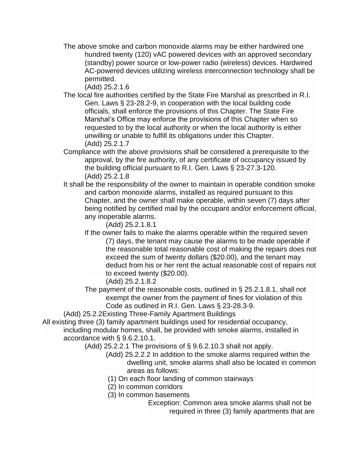The above smoke and carbon monoxide alarms may be either hardwired one hundred twenty (120) vAC powered devices with an approved secondary (standby) power source or low-power radio (wireless) devices. Hardwired AC-powered devices utilizing wireless interconnection technology shall be permitted.

(Add) 25.2.1.6

- The local fire authorities certified by the State Fire Marshal as prescribed in R.I. Gen. Laws § 23-28.2-9, in cooperation with the local building code officials, shall enforce the provisions of this Chapter. The State Fire Marshal's Office may enforce the provisions of this Chapter when so requested to by the local authority or when the local authority is either unwilling or unable to fulfill its obligations under this Chapter. (Add) 25.2.1.7
- Compliance with the above provisions shall be considered a prerequisite to the approval, by the fire authority, of any certificate of occupancy issued by the building official pursuant to R.I. Gen. Laws § 23-27.3-120. (Add) 25.2.1.8
- It shall be the responsibility of the owner to maintain in operable condition smoke and carbon monoxide alarms, installed as required pursuant to this Chapter, and the owner shall make operable, within seven (7) days after being notified by certified mail by the occupant and/or enforcement official, any inoperable alarms.

(Add) 25.2.1.8.1

If the owner fails to make the alarms operable within the required seven (7) days, the tenant may cause the alarms to be made operable if the reasonable total reasonable cost of making the repairs does not exceed the sum of twenty dollars (\$20.00), and the tenant may deduct from his or her rent the actual reasonable cost of repairs not to exceed twenty (\$20.00).

(Add) 25.2.1.8.2

The payment of the reasonable costs, outlined in § 25.2.1.8.1, shall not exempt the owner from the payment of fines for violation of this Code as outlined in R.I. Gen. Laws § 23-28.3-9.

(Add) 25.2.2Existing Three-Family Apartment Buildings

All existing three (3) family apartment buildings used for residential occupancy, including modular homes, shall, be provided with smoke alarms, installed in accordance with § 9.6.2.10.1.

(Add) 25.2.2.1 The provisions of § 9.6.2.10.3 shall not apply.

- (Add) 25.2.2.2 In addition to the smoke alarms required within the dwelling unit, smoke alarms shall also be located in common areas as follows:
- (1) On each floor landing of common stairways
- (2) In common corridors
- (3) In common basements

Exception: Common area smoke alarms shall not be required in three (3) family apartments that are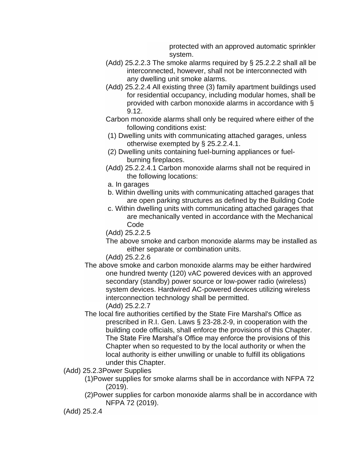protected with an approved automatic sprinkler system.

- (Add) 25.2.2.3 The smoke alarms required by § 25.2.2.2 shall all be interconnected, however, shall not be interconnected with any dwelling unit smoke alarms.
- (Add) 25.2.2.4 All existing three (3) family apartment buildings used for residential occupancy, including modular homes, shall be provided with carbon monoxide alarms in accordance with § 9.12.
- Carbon monoxide alarms shall only be required where either of the following conditions exist:
- (1) Dwelling units with communicating attached garages, unless otherwise exempted by § 25.2.2.4.1.
- (2) Dwelling units containing fuel-burning appliances or fuelburning fireplaces.
- (Add) 25.2.2.4.1 Carbon monoxide alarms shall not be required in the following locations:
- a. In garages
- b. Within dwelling units with communicating attached garages that are open parking structures as defined by the Building Code
- c. Within dwelling units with communicating attached garages that are mechanically vented in accordance with the Mechanical Code
- (Add) 25.2.2.5
- The above smoke and carbon monoxide alarms may be installed as either separate or combination units.

(Add) 25.2.2.6

- The above smoke and carbon monoxide alarms may be either hardwired one hundred twenty (120) vAC powered devices with an approved secondary (standby) power source or low-power radio (wireless) system devices. Hardwired AC-powered devices utilizing wireless interconnection technology shall be permitted. (Add) 25.2.2.7
- The local fire authorities certified by the State Fire Marshal's Office as prescribed in R.I. Gen. Laws § 23-28.2-9, in cooperation with the building code officials, shall enforce the provisions of this Chapter. The State Fire Marshal's Office may enforce the provisions of this Chapter when so requested to by the local authority or when the local authority is either unwilling or unable to fulfill its obligations under this Chapter.
- (Add) 25.2.3Power Supplies
	- (1)Power supplies for smoke alarms shall be in accordance with NFPA 72 (2019).
	- (2)Power supplies for carbon monoxide alarms shall be in accordance with NFPA 72 (2019).

<sup>(</sup>Add) 25.2.4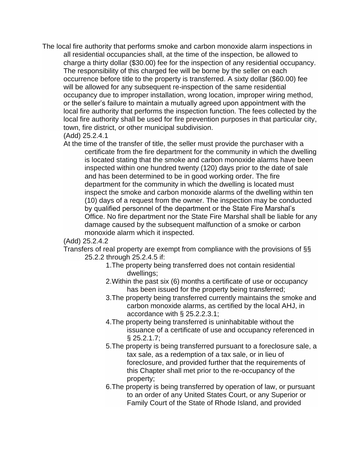The local fire authority that performs smoke and carbon monoxide alarm inspections in all residential occupancies shall, at the time of the inspection, be allowed to charge a thirty dollar (\$30.00) fee for the inspection of any residential occupancy. The responsibility of this charged fee will be borne by the seller on each occurrence before title to the property is transferred. A sixty dollar (\$60.00) fee will be allowed for any subsequent re-inspection of the same residential occupancy due to improper installation, wrong location, improper wiring method, or the seller's failure to maintain a mutually agreed upon appointment with the local fire authority that performs the inspection function. The fees collected by the local fire authority shall be used for fire prevention purposes in that particular city, town, fire district, or other municipal subdivision.

## (Add) 25.2.4.1

At the time of the transfer of title, the seller must provide the purchaser with a certificate from the fire department for the community in which the dwelling is located stating that the smoke and carbon monoxide alarms have been inspected within one hundred twenty (120) days prior to the date of sale and has been determined to be in good working order. The fire department for the community in which the dwelling is located must inspect the smoke and carbon monoxide alarms of the dwelling within ten (10) days of a request from the owner. The inspection may be conducted by qualified personnel of the department or the State Fire Marshal's Office. No fire department nor the State Fire Marshal shall be liable for any damage caused by the subsequent malfunction of a smoke or carbon monoxide alarm which it inspected.

## (Add) 25.2.4.2

Transfers of real property are exempt from compliance with the provisions of §§ 25.2.2 through 25.2.4.5 if:

- 1.The property being transferred does not contain residential dwellings;
- 2.Within the past six (6) months a certificate of use or occupancy has been issued for the property being transferred;
- 3.The property being transferred currently maintains the smoke and carbon monoxide alarms, as certified by the local AHJ, in accordance with § 25.2.2.3.1;
- 4.The property being transferred is uninhabitable without the issuance of a certificate of use and occupancy referenced in § 25.2.1.7;
- 5.The property is being transferred pursuant to a foreclosure sale, a tax sale, as a redemption of a tax sale, or in lieu of foreclosure, and provided further that the requirements of this Chapter shall met prior to the re-occupancy of the property;
- 6.The property is being transferred by operation of law, or pursuant to an order of any United States Court, or any Superior or Family Court of the State of Rhode Island, and provided